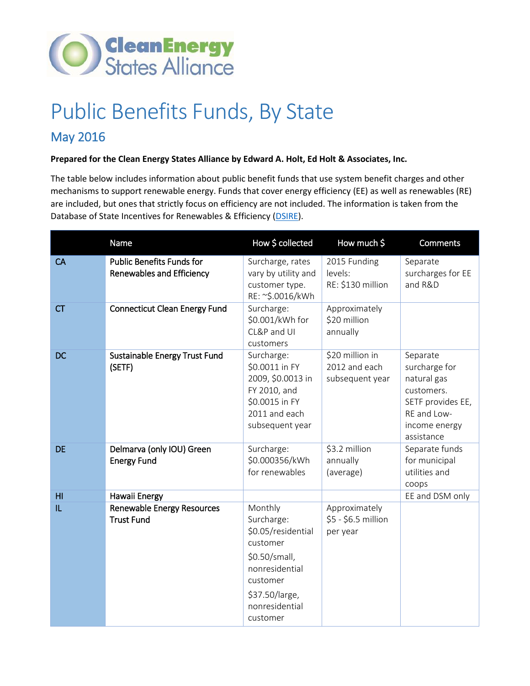

## Public Benefits Funds, By State

## May 2016

## **Prepared for the Clean Energy States Alliance by Edward A. Holt, Ed Holt & Associates, Inc.**

The table below includes information about public benefit funds that use system benefit charges and other mechanisms to support renewable energy. Funds that cover energy efficiency (EE) as well as renewables (RE) are included, but ones that strictly focus on efficiency are not included. The information is taken from the Database of State Incentives for Renewables & Efficiency [\(DSIRE\)](http://www.dsireusa.org/).

|           | Name                                                                 | How \$ collected                                                                                                                                       | How much \$                                         | <b>Comments</b>                                                                                                           |
|-----------|----------------------------------------------------------------------|--------------------------------------------------------------------------------------------------------------------------------------------------------|-----------------------------------------------------|---------------------------------------------------------------------------------------------------------------------------|
| CA        | <b>Public Benefits Funds for</b><br><b>Renewables and Efficiency</b> | Surcharge, rates<br>vary by utility and<br>customer type.<br>RE: ~\$.0016/kWh                                                                          | 2015 Funding<br>levels:<br>RE: \$130 million        | Separate<br>surcharges for EE<br>and R&D                                                                                  |
| <b>CT</b> | <b>Connecticut Clean Energy Fund</b>                                 | Surcharge:<br>\$0.001/kWh for<br>CL&P and UI<br>customers                                                                                              | Approximately<br>\$20 million<br>annually           |                                                                                                                           |
| <b>DC</b> | Sustainable Energy Trust Fund<br>(SETF)                              | Surcharge:<br>\$0.0011 in FY<br>2009, \$0.0013 in<br>FY 2010, and<br>\$0.0015 in FY<br>2011 and each<br>subsequent year                                | \$20 million in<br>2012 and each<br>subsequent year | Separate<br>surcharge for<br>natural gas<br>customers.<br>SETF provides EE,<br>RE and Low-<br>income energy<br>assistance |
| <b>DE</b> | Delmarva (only IOU) Green<br><b>Energy Fund</b>                      | Surcharge:<br>\$0.000356/kWh<br>for renewables                                                                                                         | \$3.2 million<br>annually<br>(average)              | Separate funds<br>for municipal<br>utilities and<br>coops                                                                 |
| H1        | Hawaii Energy                                                        |                                                                                                                                                        |                                                     | EE and DSM only                                                                                                           |
| IL.       | <b>Renewable Energy Resources</b><br><b>Trust Fund</b>               | Monthly<br>Surcharge:<br>\$0.05/residential<br>customer<br>\$0.50/small,<br>nonresidential<br>customer<br>\$37.50/large,<br>nonresidential<br>customer | Approximately<br>\$5 - \$6.5 million<br>per year    |                                                                                                                           |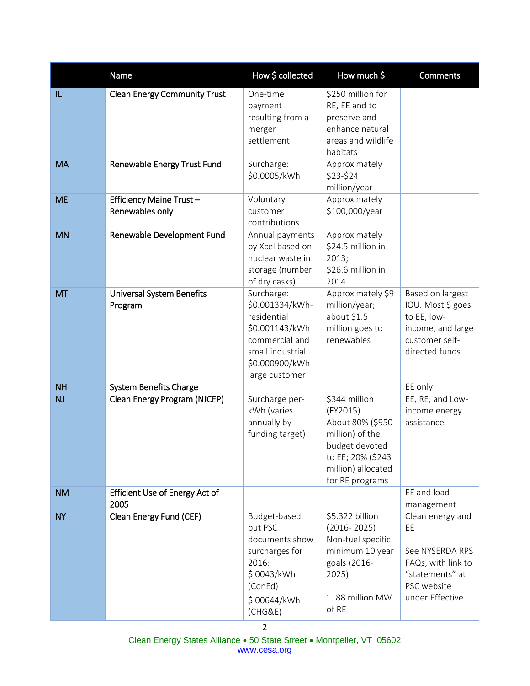|                | Name                                        | How \$ collected                                                                                                                         | How much \$                                                                                                                                      | <b>Comments</b>                                                                                                      |  |
|----------------|---------------------------------------------|------------------------------------------------------------------------------------------------------------------------------------------|--------------------------------------------------------------------------------------------------------------------------------------------------|----------------------------------------------------------------------------------------------------------------------|--|
| IL             | <b>Clean Energy Community Trust</b>         | One-time<br>payment<br>resulting from a<br>merger<br>settlement                                                                          | \$250 million for<br>RE, EE and to<br>preserve and<br>enhance natural<br>areas and wildlife<br>habitats                                          |                                                                                                                      |  |
| <b>MA</b>      | Renewable Energy Trust Fund                 | Surcharge:<br>\$0.0005/kWh                                                                                                               | Approximately<br>\$23-\$24<br>million/year                                                                                                       |                                                                                                                      |  |
| <b>ME</b>      | Efficiency Maine Trust-<br>Renewables only  | Voluntary<br>customer<br>contributions                                                                                                   | Approximately<br>\$100,000/year                                                                                                                  |                                                                                                                      |  |
| <b>MN</b>      | Renewable Development Fund                  | Annual payments<br>by Xcel based on<br>nuclear waste in<br>storage (number<br>of dry casks)                                              | Approximately<br>\$24.5 million in<br>2013;<br>\$26.6 million in<br>2014                                                                         |                                                                                                                      |  |
| <b>MT</b>      | <b>Universal System Benefits</b><br>Program | Surcharge:<br>\$0.001334/kWh-<br>residential<br>\$0.001143/kWh<br>commercial and<br>small industrial<br>\$0.000900/kWh<br>large customer | Approximately \$9<br>million/year;<br>about \$1.5<br>million goes to<br>renewables                                                               | Based on largest<br>IOU. Most \$ goes<br>to EE, low-<br>income, and large<br>customer self-<br>directed funds        |  |
| <b>NH</b>      | <b>System Benefits Charge</b>               |                                                                                                                                          |                                                                                                                                                  | EE only                                                                                                              |  |
| <b>NJ</b>      | Clean Energy Program (NJCEP)                | Surcharge per-<br>kWh (varies<br>annually by<br>funding target)                                                                          | \$344 million<br>(FY2015)<br>About 80% (\$950<br>million) of the<br>budget devoted<br>to EE; 20% (\$243<br>million) allocated<br>for RE programs | EE, RE, and Low-<br>income energy<br>assistance                                                                      |  |
| <b>NM</b>      | Efficient Use of Energy Act of<br>2005      |                                                                                                                                          |                                                                                                                                                  | EE and load<br>management                                                                                            |  |
| <b>NY</b>      | Clean Energy Fund (CEF)                     | Budget-based,<br>but PSC<br>documents show<br>surcharges for<br>2016:<br>\$.0043/kWh<br>(ConEd)<br>\$.00644/kWh<br>(CHG&E)               | \$5.322 billion<br>$(2016 - 2025)$<br>Non-fuel specific<br>minimum 10 year<br>goals (2016-<br>$2025$ :<br>1.88 million MW<br>of RE               | Clean energy and<br>EE<br>See NYSERDA RPS<br>FAQs, with link to<br>"statements" at<br>PSC website<br>under Effective |  |
| $\overline{2}$ |                                             |                                                                                                                                          |                                                                                                                                                  |                                                                                                                      |  |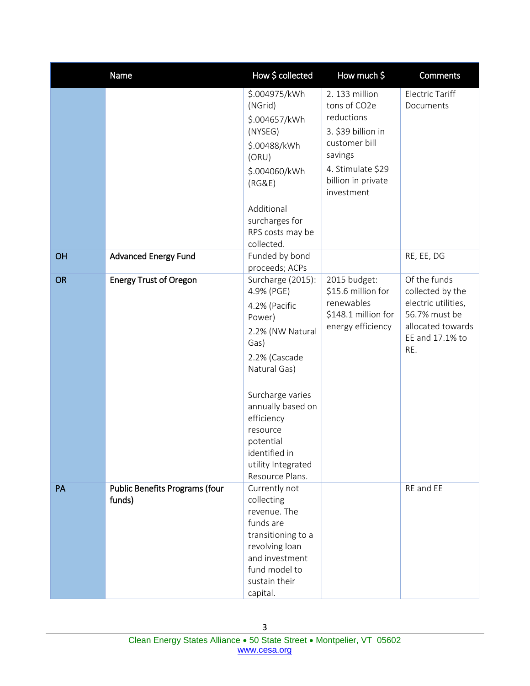|           | Name                                            | How \$ collected                                                                                                                                                                                                                                                  | How much \$                                                                                                                                             | <b>Comments</b>                                                                                                         |
|-----------|-------------------------------------------------|-------------------------------------------------------------------------------------------------------------------------------------------------------------------------------------------------------------------------------------------------------------------|---------------------------------------------------------------------------------------------------------------------------------------------------------|-------------------------------------------------------------------------------------------------------------------------|
|           |                                                 | \$.004975/kWh<br>(NGrid)<br>\$.004657/kWh<br>(NYSEG)<br>\$.00488/kWh<br>(ORU)<br>\$.004060/kWh<br>(RG&E)<br>Additional<br>surcharges for<br>RPS costs may be<br>collected.                                                                                        | 2. 133 million<br>tons of CO2e<br>reductions<br>3. \$39 billion in<br>customer bill<br>savings<br>4. Stimulate \$29<br>billion in private<br>investment | <b>Electric Tariff</b><br>Documents                                                                                     |
| OH        | <b>Advanced Energy Fund</b>                     | Funded by bond<br>proceeds; ACPs                                                                                                                                                                                                                                  |                                                                                                                                                         | RE, EE, DG                                                                                                              |
| <b>OR</b> | <b>Energy Trust of Oregon</b>                   | Surcharge (2015):<br>4.9% (PGE)<br>4.2% (Pacific<br>Power)<br>2.2% (NW Natural<br>Gas)<br>2.2% (Cascade<br>Natural Gas)<br>Surcharge varies<br>annually based on<br>efficiency<br>resource<br>potential<br>identified in<br>utility Integrated<br>Resource Plans. | 2015 budget:<br>\$15.6 million for<br>renewables<br>\$148.1 million for<br>energy efficiency                                                            | Of the funds<br>collected by the<br>electric utilities,<br>56.7% must be<br>allocated towards<br>EE and 17.1% to<br>RE. |
| PA        | <b>Public Benefits Programs (four</b><br>funds) | Currently not<br>collecting<br>revenue. The<br>funds are<br>transitioning to a<br>revolving loan<br>and investment<br>fund model to<br>sustain their<br>capital.                                                                                                  |                                                                                                                                                         | RE and EE                                                                                                               |